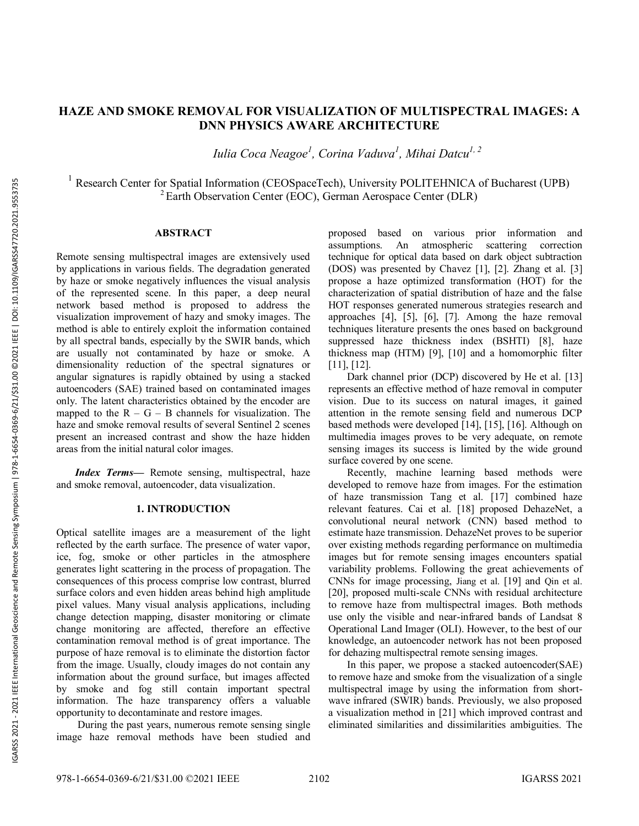# **HAZE AND SMOKE REMOVAL FO R VISUALIZATION OF MULTISPECTRAL IMAGES : A DNN PHYSICS AWARE ARCHITECTURE**

*Iulia Coca Neagoe 1 , Corina Vaduva 1 , Mihai Datcu 1, 2*

<sup>1</sup> Research Center for Spatial Information (CEOSpaceTech), University POLITEHNICA of Bucharest (UPB)  $2$ Earth Observation Center (EOC), German Aerospace Center (DLR)

# **ABSTRACT**

Remote sensing multispectral images are extensively used by applications in various fields. The degradation generated by haze or smoke negatively influences the visual analysis of the represented scene. In this paper, a deep neural network based method is proposed to address the visualization improvement of hazy and smoky images. The method is able to entirely exploit the information contained by all spectral bands, especially by the SWIR bands, which are usually not contaminated by haze or smoke. A dimensionality reduction of the spectral signatures or angular signatures is rapidly obtained by using a stacked autoencoders (SAE) trained based on contaminated images only. The latent characteristics obtained by the encoder are mapped to the  $R - G - B$  channels for visualization. The haze and smoke removal results of several Sentinel 2 scenes present an increased contrast and show the haze hidden areas from the initial natural color image s .

*Index Terms —* Remote sensing, multispectral, haze and smoke removal, autoencoder, data visualization.

#### **1. INTRODUCTION**

Optical satellite images are a measurement of the light reflected by the earth surface. The presence of water vapor, ice, fog, smoke or other particles in the atmosphere generates light scattering in the process of propagation. The consequences of this process comprise low contrast, blurred surface colors and even hidden areas behind high amplitude pixel values. Many visual analysis applications, including change detection mapping, disaster monitoring or climate change monitoring are affected, therefore an effective contamination removal method is of great importance. The purpose of haze removal is to eliminate the distortion factor from the image. Usually, cloudy images do not contain any information about the ground surface, but images affected by smoke and fog still contain important spectral information. The haze transparency offers a valuable opportunity to decontaminate and restore images.

During the past years, numerous remote sensing single image haze removal methods have been studied and proposed based on various prior information and assumptions. An atmospheric scattering correction technique for optical data based on dark object subtraction (DOS) was presented by Chavez [1], [2]. Zhang et al. [3] propose a haze optimized transformation (HOT) for the characterization of spatial distribution of haze and the false HOT responses generated numerous strategies research and approaches [4], [5], [6], [7]. Among the haze removal techniques literature presents the ones based on background suppressed haze thickness index (BSHTI) [8], haze thickness map (HTM) [9], [10] and a homomorphic filter [11], [12].

Dark channel prior (DCP) discovered by He et al. [13] represents an effective method of haze removal in computer vision. Due to its success on natural images, it gained attention in the remote sensing field and numerous DCP based methods were developed [14], [15], [16]. Although on multimedia images proves to be very adequate, on remote sensing images its success is limited by the wide ground surface covered by one scene.

Recently, machine learning based methods were developed to remove haze from images. For the estimation of haze transmission Tang et al. [17] combined haze relevant features. Cai et al. [18] proposed DehazeNet, a convolutional neural network (CNN) based method to estimate haze transmission. DehazeNet proves to be superior over existing methods regarding performance on multimedia images but for remote sensing images encounters spatial variability problems. Following the great achievements of CNNs for image processing, Jiang et al. [19] and Qin et al. [20], proposed multi-scale CNNs with residual architecture to remove haze from multispectral images. Both methods use only the visible and near -infrared bands of Landsat 8 Operational Land Imager (OLI). However, to the best of our knowledge, an autoencoder network has not been proposed for dehazing multispectral remote sensing images.

In this paper, we propose a stacked autoencoder(SAE ) to remove haze and smoke from the visualization of a single multispectral image by using the information from short wave infrared (SWIR) bands . Previously, we also proposed a visualization method in [21] which improved contrast and eliminated similarities and dissimilarities ambiguities. The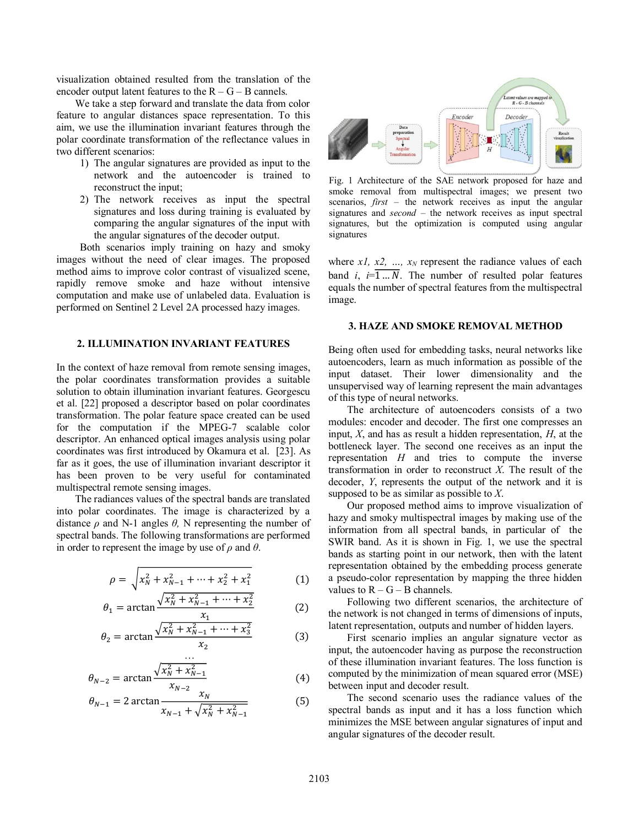visualization obtained resulted from the translation of the encoder output latent features to the  $R - G - B$  cannels.

We take a step forward and translate the data from color feature to angular distances space representation. To this aim, we use the illumination invariant features through the polar coordinate transformation of the reflectance values in two different scenarios:

- 1) The angular signatures are provided as input to the network and the autoencoder is trained to reconstruct the input;
- 2) The network receives as input the spectral signatures and loss during training is evaluated by comparing the angular signatures of the input with the angular signatures of the decoder output.

Both scenarios imply training on hazy and smoky images without the need of clear images. The proposed method aims to improve color contrast of visualized scene, rapidly remove smoke and haze without intensive computation and make use of unlabeled data. Evaluation is performed on Sentinel 2 Level 2A processed hazy images.

# **2. ILLUMINATION INVARIANT FEATURES**

In the context of haze removal from remote sensing images, the polar coordinates transformation provides a suitable solution to obtain illumination invariant features. Georgescu et al. [22] proposed a descriptor based on polar coordinates transformation. The polar feature space created can be used for the computation if the MPEG-7 scalable color descriptor. An enhanced optical images analysis using polar coordinates was first introduced by Okamura et al. [23]. As far as it goes, the use of illumination invariant descriptor it has been proven to be very useful for contaminated multispectral remote sensing images.

The radiances values of the spectral bands are translated into polar coordinates. The image is characterized by a distance *ρ* and N-1 angles *θ,* N representing the number of spectral bands. The following transformations are performed in order to represent the image by use of *ρ* and *θ*.

$$
\rho = \sqrt{x_N^2 + x_{N-1}^2 + \dots + x_2^2 + x_1^2}
$$
 (1)

$$
\theta_1 = \arctan \frac{\sqrt{x_N^2 + x_{N-1}^2 + \dots + x_2^2}}{x_1} \tag{2}
$$

$$
\theta_2 = \arctan \frac{\sqrt{x_N^2 + x_{N-1}^2 + \dots + x_3^2}}{x_2}
$$
 (3)

$$
\theta_{N-2} = \arctan \frac{\sqrt{x_N^2 + x_{N-1}^2}}{x_{N-2}}
$$
 (4)

…

$$
\theta_{N-1} = 2 \arctan \frac{x_N}{x_{N-1} + \sqrt{x_N^2 + x_{N-1}^2}} \tag{5}
$$



Fig. 1 Architecture of the SAE network proposed for haze and smoke removal from multispectral images; we present two scenarios, *first* – the network receives as input the angular signatures and *second* – the network receives as input spectral signatures, but the optimization is computed using angular signatures

where  $x_1$ ,  $x_2$ , ...,  $x_N$  represent the radiance values of each band *i*,  $i = \overline{1...N}$ . The number of resulted polar features equals the number of spectral features from the multispectral image.

### **3. HAZE AND SMOKE REMOVAL METHOD**

Being often used for embedding tasks, neural networks like autoencoders, learn as much information as possible of the input dataset. Their lower dimensionality and the unsupervised way of learning represent the main advantages of this type of neural networks.

The architecture of autoencoders consists of a two modules: encoder and decoder. The first one compresses an input, *X*, and has as result a hidden representation, *H*, at the bottleneck layer. The second one receives as an input the representation *H* and tries to compute the inverse transformation in order to reconstruct *X*. The result of the decoder, *Y*, represents the output of the network and it is supposed to be as similar as possible to *X*.

Our proposed method aims to improve visualization of hazy and smoky multispectral images by making use of the information from all spectral bands, in particular of the SWIR band. As it is shown in Fig. 1, we use the spectral bands as starting point in our network, then with the latent representation obtained by the embedding process generate a pseudo-color representation by mapping the three hidden values to  $R - G - B$  channels.

Following two different scenarios, the architecture of the network is not changed in terms of dimensions of inputs, latent representation, outputs and number of hidden layers.

First scenario implies an angular signature vector as input, the autoencoder having as purpose the reconstruction of these illumination invariant features. The loss function is computed by the minimization of mean squared error (MSE) between input and decoder result.

The second scenario uses the radiance values of the spectral bands as input and it has a loss function which minimizes the MSE between angular signatures of input and angular signatures of the decoder result.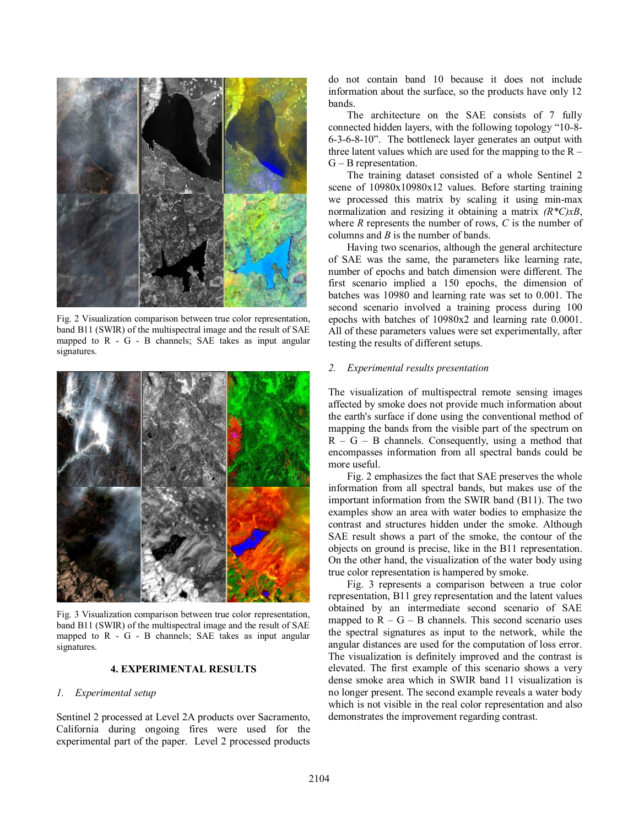

Fig. 2 Visualization comparison between true color representation, band B11 (SWIR) of the multispectral image and the result of SAE mapped to R - G - B channels; SAE takes as input angular signatures.



Fig. 3 Visualization comparison between true color representation, band B11 (SWIR) of the multispectral image and the result of SAE mapped to R - G - B channels; SAE takes as input angular signatures.

#### **4. EXPERIMENTAL RESULTS**

#### *1. Experimental setup*

Sentinel 2 processed at Level 2A products over Sacramento, California during ongoing fires were used for the experimental part of the paper. Level 2 processed products

do not contain band 10 because it does not include information about the surface, so the products have only 12 bands.

The architecture on the SAE consists of 7 fully connected hidden layers, with the following topology "10-8- 6-3-6-8-10". The bottleneck layer generates an output with three latent values which are used for the mapping to the  $R -$ G – B representation.

The training dataset consisted of a whole Sentinel 2 scene of 10980x10980x12 values. Before starting training we processed this matrix by scaling it using min-max normalization and resizing it obtaining a matrix *(R\*C)xB*, where *R* represents the number of rows, *C* is the number of columns and *B* is the number of bands.

Having two scenarios, although the general architecture of SAE was the same, the parameters like learning rate, number of epochs and batch dimension were different. The first scenario implied a 150 epochs, the dimension of batches was 10980 and learning rate was set to 0.001. The second scenario involved a training process during 100 epochs with batches of 10980x2 and learning rate 0.0001. All of these parameters values were set experimentally, after testing the results of different setups.

#### *2. Experimental results presentation*

The visualization of multispectral remote sensing images affected by smoke does not provide much information about the earth's surface if done using the conventional method of mapping the bands from the visible part of the spectrum on  $R - G - B$  channels. Consequently, using a method that encompasses information from all spectral bands could be more useful.

Fig. 2 emphasizes the fact that SAE preserves the whole information from all spectral bands, but makes use of the important information from the SWIR band (B11). The two examples show an area with water bodies to emphasize the contrast and structures hidden under the smoke. Although SAE result shows a part of the smoke, the contour of the objects on ground is precise, like in the B11 representation. On the other hand, the visualization of the water body using true color representation is hampered by smoke.

Fig. 3 represents a comparison between a true color representation, B11 grey representation and the latent values obtained by an intermediate second scenario of SAE mapped to  $R - G - B$  channels. This second scenario uses the spectral signatures as input to the network, while the angular distances are used for the computation of loss error. The visualization is definitely improved and the contrast is elevated. The first example of this scenario shows a very dense smoke area which in SWIR band 11 visualization is no longer present. The second example reveals a water body which is not visible in the real color representation and also demonstrates the improvement regarding contrast.